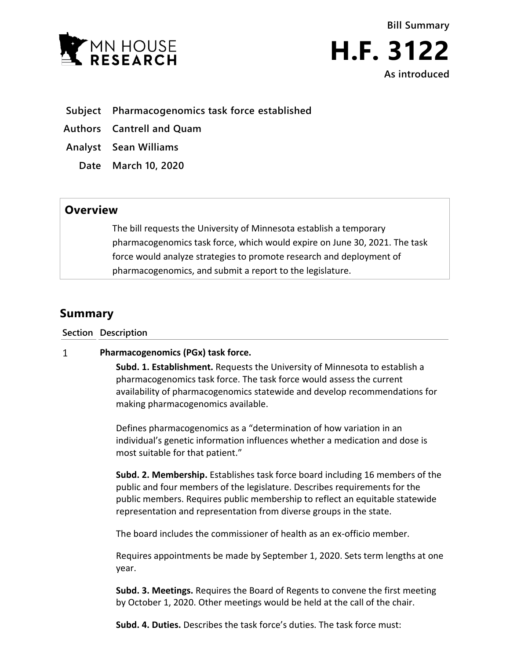

**Bill Summary H.F. 3122 As introduced**

- **Subject Pharmacogenomics task force established**
- **Authors Cantrell and Quam**
- **Analyst Sean Williams**
	- **Date March 10, 2020**

## **Overview**

The bill requests the University of Minnesota establish a temporary pharmacogenomics task force, which would expire on June 30, 2021. The task force would analyze strategies to promote research and deployment of pharmacogenomics, and submit a report to the legislature.

# **Summary**

**Section Description**

#### $\mathbf{1}$ **Pharmacogenomics (PGx) task force.**

**Subd. 1. Establishment.** Requests the University of Minnesota to establish a pharmacogenomics task force. The task force would assess the current availability of pharmacogenomics statewide and develop recommendations for making pharmacogenomics available.

Defines pharmacogenomics as a "determination of how variation in an individual's genetic information influences whether a medication and dose is most suitable for that patient."

**Subd. 2. Membership.** Establishes task force board including 16 members of the public and four members of the legislature. Describes requirements for the public members. Requires public membership to reflect an equitable statewide representation and representation from diverse groups in the state.

The board includes the commissioner of health as an ex-officio member.

Requires appointments be made by September 1, 2020. Sets term lengths at one year.

**Subd. 3. Meetings.** Requires the Board of Regents to convene the first meeting by October 1, 2020. Other meetings would be held at the call of the chair.

**Subd. 4. Duties.** Describes the task force's duties. The task force must: